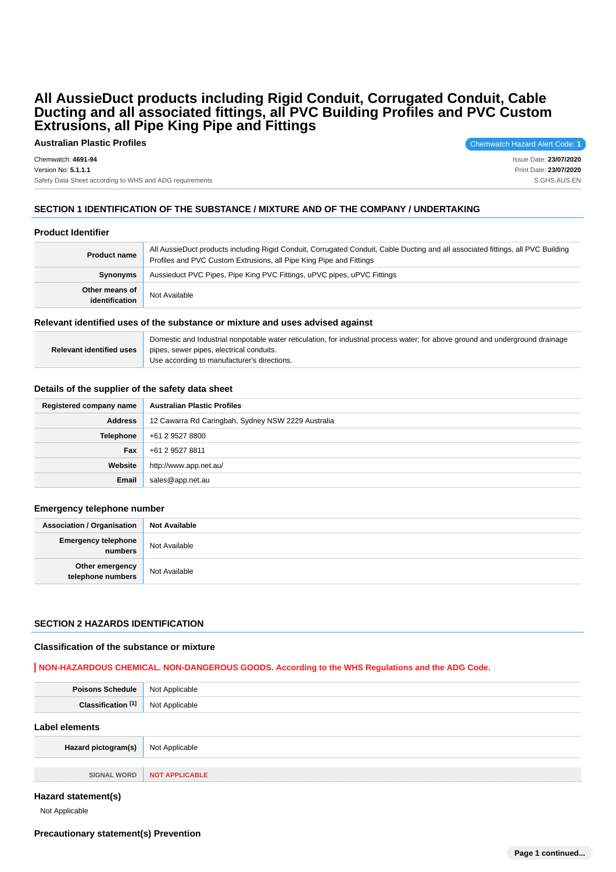**Australian Plastic Profiles** Chemwatch Hazard Alert Code: 1

Chemwatch: **4691-94**

Version No: **5.1.1.1**

Safety Data Sheet according to WHS and ADG requirements

Issue Date: **23/07/2020** Print Date: **23/07/2020** S.GHS.AUS.EN

# **SECTION 1 IDENTIFICATION OF THE SUBSTANCE / MIXTURE AND OF THE COMPANY / UNDERTAKING**

# **Product Identifier**

| <b>Product name</b>              | All AussieDuct products including Rigid Conduit, Corrugated Conduit, Cable Ducting and all associated fittings, all PVC Building<br>Profiles and PVC Custom Extrusions, all Pipe King Pipe and Fittings |
|----------------------------------|---------------------------------------------------------------------------------------------------------------------------------------------------------------------------------------------------------|
| Synonyms                         | Aussieduct PVC Pipes, Pipe King PVC Fittings, uPVC pipes, uPVC Fittings                                                                                                                                 |
| Other means of<br>identification | Not Available                                                                                                                                                                                           |

#### **Relevant identified uses of the substance or mixture and uses advised against**

|                                 | Domestic and Industrial nonpotable water reticulation, for industrial process water; for above ground and underground drainage |
|---------------------------------|--------------------------------------------------------------------------------------------------------------------------------|
| <b>Relevant identified uses</b> | pipes, sewer pipes, electrical conduits.                                                                                       |
|                                 | Use according to manufacturer's directions.                                                                                    |

#### **Details of the supplier of the safety data sheet**

| Registered company name | <b>Australian Plastic Profiles</b>                 |
|-------------------------|----------------------------------------------------|
| <b>Address</b>          | 12 Cawarra Rd Caringbah, Sydney NSW 2229 Australia |
| Telephone               | +61 2 9527 8800                                    |
| Fax                     | +61 2 9527 8811                                    |
| Website                 | http://www.app.net.au/                             |
| Email                   | sales@app.net.au                                   |

#### **Emergency telephone number**

| Association / Organisation             | <b>Not Available</b> |
|----------------------------------------|----------------------|
| <b>Emergency telephone</b><br>numbers  | Not Available        |
| Other emergency  <br>telephone numbers | Not Available        |

### **SECTION 2 HAZARDS IDENTIFICATION**

#### **Classification of the substance or mixture**

### **NON-HAZARDOUS CHEMICAL. NON-DANGEROUS GOODS. According to the WHS Regulations and the ADG Code.**

| Daie               | NG  |
|--------------------|-----|
| <br>C <sub>1</sub> | NI. |

#### **Label elements**

| Hazard pictogram(s) | Not Applicable               |
|---------------------|------------------------------|
|                     |                              |
|                     | SIGNAL WORD   NOT APPLICABLE |

#### **Hazard statement(s)**

Not Applicable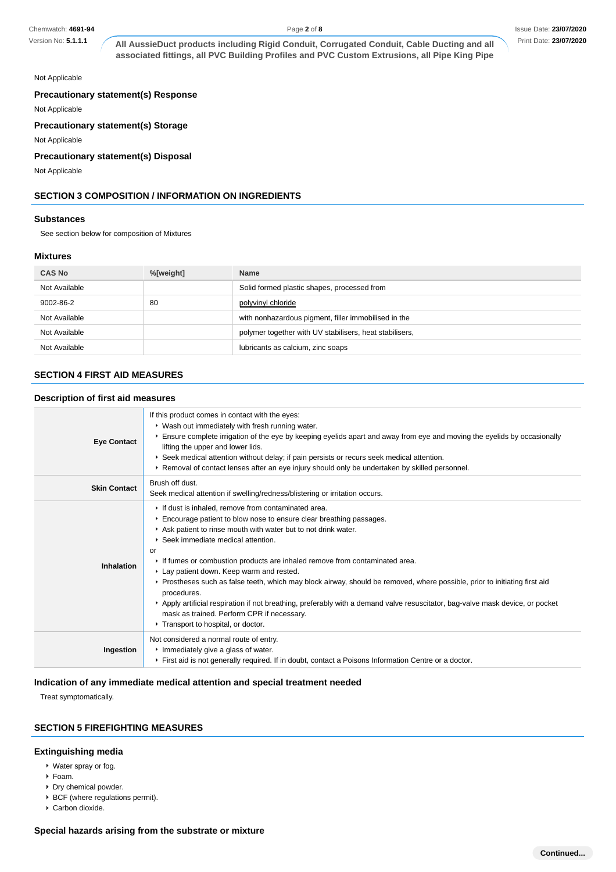Version No: **5.1.1.1**

**All AussieDuct products including Rigid Conduit, Corrugated Conduit, Cable Ducting and all associated fittings, all PVC Building Profiles and PVC Custom Extrusions, all Pipe King Pipe**

#### Not Applicable

### **Precautionary statement(s) Response**

Not Applicable

# **Precautionary statement(s) Storage**

Not Applicable

# **Precautionary statement(s) Disposal**

Not Applicable

# **SECTION 3 COMPOSITION / INFORMATION ON INGREDIENTS**

#### **Substances**

See section below for composition of Mixtures

# **Mixtures**

| <b>CAS No</b> | %[weight] | <b>Name</b>                                             |
|---------------|-----------|---------------------------------------------------------|
| Not Available |           | Solid formed plastic shapes, processed from             |
| 9002-86-2     | 80        | polyvinyl chloride                                      |
| Not Available |           | with nonhazardous pigment, filler immobilised in the    |
| Not Available |           | polymer together with UV stabilisers, heat stabilisers, |
| Not Available |           | lubricants as calcium, zinc soaps                       |

# **SECTION 4 FIRST AID MEASURES**

# **Description of first aid measures**

| <b>Eye Contact</b>  | If this product comes in contact with the eyes:<br>▶ Wash out immediately with fresh running water.<br>Ensure complete irrigation of the eye by keeping eyelids apart and away from eye and moving the eyelids by occasionally<br>lifting the upper and lower lids.<br>▶ Seek medical attention without delay; if pain persists or recurs seek medical attention.<br>► Removal of contact lenses after an eye injury should only be undertaken by skilled personnel.                                                                                                                                                                                                                                                              |
|---------------------|-----------------------------------------------------------------------------------------------------------------------------------------------------------------------------------------------------------------------------------------------------------------------------------------------------------------------------------------------------------------------------------------------------------------------------------------------------------------------------------------------------------------------------------------------------------------------------------------------------------------------------------------------------------------------------------------------------------------------------------|
| <b>Skin Contact</b> | Brush off dust.<br>Seek medical attention if swelling/redness/blistering or irritation occurs.                                                                                                                                                                                                                                                                                                                                                                                                                                                                                                                                                                                                                                    |
| <b>Inhalation</b>   | If dust is inhaled, remove from contaminated area.<br>Encourage patient to blow nose to ensure clear breathing passages.<br>Ask patient to rinse mouth with water but to not drink water.<br>▶ Seek immediate medical attention.<br>or<br>If fumes or combustion products are inhaled remove from contaminated area.<br>Lay patient down. Keep warm and rested.<br>▶ Prostheses such as false teeth, which may block airway, should be removed, where possible, prior to initiating first aid<br>procedures.<br>▶ Apply artificial respiration if not breathing, preferably with a demand valve resuscitator, bag-valve mask device, or pocket<br>mask as trained. Perform CPR if necessary.<br>Transport to hospital, or doctor. |
| Ingestion           | Not considered a normal route of entry.<br>Immediately give a glass of water.<br>First aid is not generally required. If in doubt, contact a Poisons Information Centre or a doctor.                                                                                                                                                                                                                                                                                                                                                                                                                                                                                                                                              |

### **Indication of any immediate medical attention and special treatment needed**

Treat symptomatically.

### **SECTION 5 FIREFIGHTING MEASURES**

### **Extinguishing media**

- Water spray or fog.
- Foam.
- Dry chemical powder.
- **BCF** (where regulations permit).
- Carbon dioxide.

# **Special hazards arising from the substrate or mixture**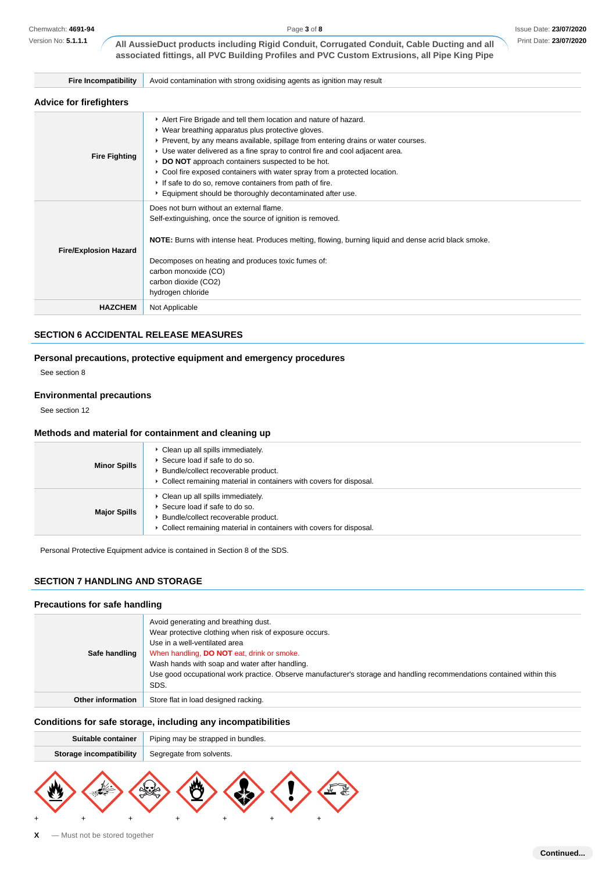Version No: **5.1.1.1**

Page **3** of **8**

**All AussieDuct products including Rigid Conduit, Corrugated Conduit, Cable Ducting and all associated fittings, all PVC Building Profiles and PVC Custom Extrusions, all Pipe King Pipe**

**Fire Incompatibility** Avoid contamination with strong oxidising agents as ignition may result

### **Advice for firefighters**

| <b>AUTIOU IUI IIIUIIUIIUIU</b> |                                                                                                                                                                                                                                                                                                                                                                                                                                                                                                                                                       |
|--------------------------------|-------------------------------------------------------------------------------------------------------------------------------------------------------------------------------------------------------------------------------------------------------------------------------------------------------------------------------------------------------------------------------------------------------------------------------------------------------------------------------------------------------------------------------------------------------|
| <b>Fire Fighting</b>           | Alert Fire Brigade and tell them location and nature of hazard.<br>• Wear breathing apparatus plus protective gloves.<br>▶ Prevent, by any means available, spillage from entering drains or water courses.<br>• Use water delivered as a fine spray to control fire and cool adjacent area.<br>▶ DO NOT approach containers suspected to be hot.<br>► Cool fire exposed containers with water spray from a protected location.<br>If safe to do so, remove containers from path of fire.<br>Equipment should be thoroughly decontaminated after use. |
| <b>Fire/Explosion Hazard</b>   | Does not burn without an external flame.<br>Self-extinguishing, once the source of ignition is removed.<br>NOTE: Burns with intense heat. Produces melting, flowing, burning liquid and dense acrid black smoke.<br>Decomposes on heating and produces toxic fumes of:<br>carbon monoxide (CO)<br>carbon dioxide (CO2)<br>hydrogen chloride                                                                                                                                                                                                           |
| <b>HAZCHEM</b>                 | Not Applicable                                                                                                                                                                                                                                                                                                                                                                                                                                                                                                                                        |

# **SECTION 6 ACCIDENTAL RELEASE MEASURES**

# **Personal precautions, protective equipment and emergency procedures**

See section 8

# **Environmental precautions**

See section 12

#### **Methods and material for containment and cleaning up**

| <b>Minor Spills</b> | • Clean up all spills immediately.<br>▶ Secure load if safe to do so.<br>Bundle/collect recoverable product.<br>▶ Collect remaining material in containers with covers for disposal. |
|---------------------|--------------------------------------------------------------------------------------------------------------------------------------------------------------------------------------|
| <b>Major Spills</b> | Clean up all spills immediately.<br>Secure load if safe to do so.<br>Bundle/collect recoverable product.<br>▶ Collect remaining material in containers with covers for disposal.     |

Personal Protective Equipment advice is contained in Section 8 of the SDS.

# **SECTION 7 HANDLING AND STORAGE**

# **Precautions for safe handling**

| Safe handling            | Avoid generating and breathing dust.<br>Wear protective clothing when risk of exposure occurs.<br>Use in a well-ventilated area<br>When handling, DO NOT eat, drink or smoke.<br>Wash hands with soap and water after handling.<br>Use good occupational work practice. Observe manufacturer's storage and handling recommendations contained within this<br>SDS. |
|--------------------------|-------------------------------------------------------------------------------------------------------------------------------------------------------------------------------------------------------------------------------------------------------------------------------------------------------------------------------------------------------------------|
| <b>Other information</b> | Store flat in load designed racking.                                                                                                                                                                                                                                                                                                                              |

# **Conditions for safe storage, including any incompatibilities**

| Suitable container             | Piping may be strapped in bundles. |
|--------------------------------|------------------------------------|
| <b>Storage incompatibility</b> | Segregate from solvents.           |
|                                |                                    |

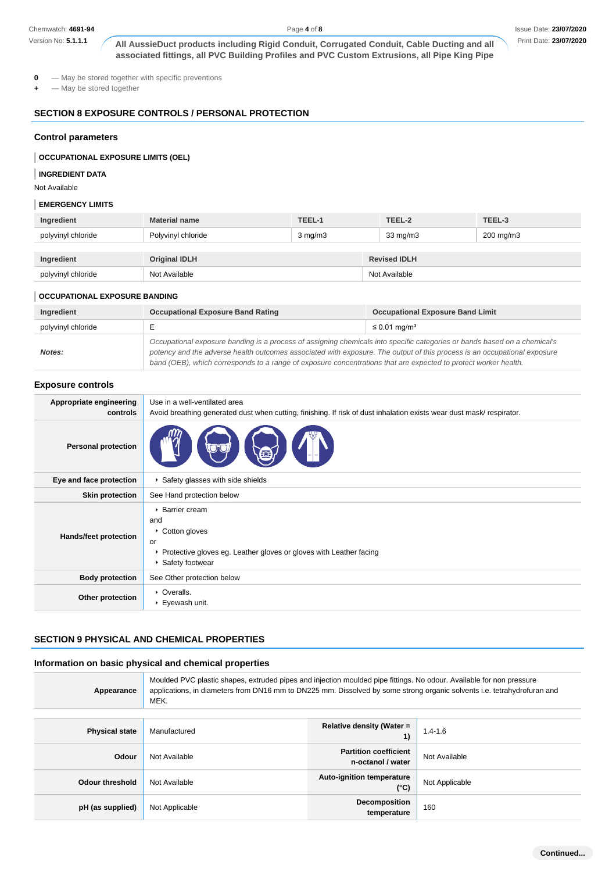# **SECTION 8 EXPOSURE CONTROLS / PERSONAL PROTECTION**

#### **Control parameters**

#### **OCCUPATIONAL EXPOSURE LIMITS (OEL)**

#### **INGREDIENT DATA**

### **EMERGENCY LIMITS**

| Ingredient         | <b>Material name</b> | TEEL-1           | TEEL-2              | TEEL-3    |
|--------------------|----------------------|------------------|---------------------|-----------|
| polyvinyl chloride | Polyvinyl chloride   | $3 \text{ mg/m}$ | 33 mg/m3            | 200 mg/m3 |
|                    |                      |                  |                     |           |
| Ingredient         | <b>Original IDLH</b> |                  | <b>Revised IDLH</b> |           |
| polyvinyl chloride | Not Available        |                  | Not Available       |           |

#### **OCCUPATIONAL EXPOSURE BANDING**

| Ingredient         | <b>Occupational Exposure Band Rating</b>                                                                                                                                                                                                                                                                                                                                 | <b>Occupational Exposure Band Limit</b> |
|--------------------|--------------------------------------------------------------------------------------------------------------------------------------------------------------------------------------------------------------------------------------------------------------------------------------------------------------------------------------------------------------------------|-----------------------------------------|
| polyvinyl chloride |                                                                                                                                                                                                                                                                                                                                                                          | $\leq$ 0.01 mg/m <sup>3</sup>           |
| Notes:             | Occupational exposure banding is a process of assigning chemicals into specific categories or bands based on a chemical's<br>potency and the adverse health outcomes associated with exposure. The output of this process is an occupational exposure<br>band (OEB), which corresponds to a range of exposure concentrations that are expected to protect worker health. |                                         |

### **Exposure controls**

| Chemwatch: 4691-94                        |                                                                                                                                                                                                                                                                                                                                                                          | Page 4 of 8                                       |                                         | Issue Date: 23/07/202 |
|-------------------------------------------|--------------------------------------------------------------------------------------------------------------------------------------------------------------------------------------------------------------------------------------------------------------------------------------------------------------------------------------------------------------------------|---------------------------------------------------|-----------------------------------------|-----------------------|
| Version No: 5.1.1.1                       | All AussieDuct products including Rigid Conduit, Corrugated Conduit, Cable Ducting and all<br>associated fittings, all PVC Building Profiles and PVC Custom Extrusions, all Pipe King Pipe                                                                                                                                                                               |                                                   |                                         | Print Date: 23/07/202 |
| 0<br>- May be stored together             | - May be stored together with specific preventions                                                                                                                                                                                                                                                                                                                       |                                                   |                                         |                       |
|                                           | <b>SECTION 8 EXPOSURE CONTROLS / PERSONAL PROTECTION</b>                                                                                                                                                                                                                                                                                                                 |                                                   |                                         |                       |
| <b>Control parameters</b>                 |                                                                                                                                                                                                                                                                                                                                                                          |                                                   |                                         |                       |
| <b>OCCUPATIONAL EXPOSURE LIMITS (OEL)</b> |                                                                                                                                                                                                                                                                                                                                                                          |                                                   |                                         |                       |
| <b>INGREDIENT DATA</b><br>Not Available   |                                                                                                                                                                                                                                                                                                                                                                          |                                                   |                                         |                       |
| <b>EMERGENCY LIMITS</b>                   |                                                                                                                                                                                                                                                                                                                                                                          |                                                   |                                         |                       |
| Ingredient                                | <b>Material name</b>                                                                                                                                                                                                                                                                                                                                                     | TEEL-1<br>TEEL-2                                  | TEEL-3                                  |                       |
| polyvinyl chloride                        | Polyvinyl chloride                                                                                                                                                                                                                                                                                                                                                       | $3$ mg/m $3$                                      | 33 mg/m3<br>200 mg/m3                   |                       |
| Ingredient                                | <b>Original IDLH</b>                                                                                                                                                                                                                                                                                                                                                     | <b>Revised IDLH</b>                               |                                         |                       |
| polyvinyl chloride                        | Not Available                                                                                                                                                                                                                                                                                                                                                            | Not Available                                     |                                         |                       |
|                                           |                                                                                                                                                                                                                                                                                                                                                                          |                                                   |                                         |                       |
| <b>OCCUPATIONAL EXPOSURE BANDING</b>      |                                                                                                                                                                                                                                                                                                                                                                          |                                                   |                                         |                       |
| Ingredient<br>polyvinyl chloride          | <b>Occupational Exposure Band Rating</b><br>Е                                                                                                                                                                                                                                                                                                                            | $\leq$ 0.01 mg/m <sup>3</sup>                     | <b>Occupational Exposure Band Limit</b> |                       |
| Notes:                                    | Occupational exposure banding is a process of assigning chemicals into specific categories or bands based on a chemical's<br>potency and the adverse health outcomes associated with exposure. The output of this process is an occupational exposure<br>band (OEB), which corresponds to a range of exposure concentrations that are expected to protect worker health. |                                                   |                                         |                       |
| <b>Exposure controls</b>                  |                                                                                                                                                                                                                                                                                                                                                                          |                                                   |                                         |                       |
| Appropriate engineering<br>controls       | Use in a well-ventilated area<br>Avoid breathing generated dust when cutting, finishing. If risk of dust inhalation exists wear dust mask/respirator.                                                                                                                                                                                                                    |                                                   |                                         |                       |
| <b>Personal protection</b>                |                                                                                                                                                                                                                                                                                                                                                                          |                                                   |                                         |                       |
| Eye and face protection                   | ▶ Safety glasses with side shields                                                                                                                                                                                                                                                                                                                                       |                                                   |                                         |                       |
| <b>Skin protection</b>                    | See Hand protection below                                                                                                                                                                                                                                                                                                                                                |                                                   |                                         |                       |
| Hands/feet protection                     | ▶ Barrier cream<br>and<br>Cotton gloves<br>or<br>▶ Protective gloves eg. Leather gloves or gloves with Leather facing<br>▶ Safety footwear                                                                                                                                                                                                                               |                                                   |                                         |                       |
| <b>Body protection</b>                    | See Other protection below                                                                                                                                                                                                                                                                                                                                               |                                                   |                                         |                       |
| Other protection                          | • Overalls.<br>▶ Eyewash unit.                                                                                                                                                                                                                                                                                                                                           |                                                   |                                         |                       |
|                                           | <b>SECTION 9 PHYSICAL AND CHEMICAL PROPERTIES</b>                                                                                                                                                                                                                                                                                                                        |                                                   |                                         |                       |
|                                           | Information on basic physical and chemical properties                                                                                                                                                                                                                                                                                                                    |                                                   |                                         |                       |
| Appearance                                | Moulded PVC plastic shapes, extruded pipes and injection moulded pipe fittings. No odour. Available for non pressure<br>applications, in diameters from DN16 mm to DN225 mm. Dissolved by some strong organic solvents i.e. tetrahydrofuran and<br>MEK.                                                                                                                  |                                                   |                                         |                       |
| <b>Physical state</b>                     | Manufactured                                                                                                                                                                                                                                                                                                                                                             | Relative density (Water =                         | $1.4 - 1.6$<br>1)                       |                       |
| Odour                                     | Not Available                                                                                                                                                                                                                                                                                                                                                            | <b>Partition coefficient</b><br>n-octanol / water | Not Available                           |                       |
| <b>Odour threshold</b>                    | Not Available                                                                                                                                                                                                                                                                                                                                                            | Auto-ignition temperature                         | Not Applicable<br>$(^{\circ}C)$         |                       |
| pH (as supplied)                          | Not Applicable                                                                                                                                                                                                                                                                                                                                                           | Decomposition                                     | 160                                     |                       |

### **SECTION 9 PHYSICAL AND CHEMICAL PROPERTIES**

# **Information on basic physical and chemical properties**

| Appearance            | Moulded PVC plastic shapes, extruded pipes and injection moulded pipe fittings. No odour. Available for non pressure<br>applications, in diameters from DN16 mm to DN225 mm. Dissolved by some strong organic solvents i.e. tetrahydrofuran and<br>MEK. |                                                   |                |
|-----------------------|---------------------------------------------------------------------------------------------------------------------------------------------------------------------------------------------------------------------------------------------------------|---------------------------------------------------|----------------|
| <b>Physical state</b> | Manufactured                                                                                                                                                                                                                                            | Relative density (Water =<br>1)                   | $1.4 - 1.6$    |
| Odour                 | Not Available                                                                                                                                                                                                                                           | <b>Partition coefficient</b><br>n-octanol / water | Not Available  |
| Odour threshold       | Not Available                                                                                                                                                                                                                                           | <b>Auto-ignition temperature</b><br>(°C)          | Not Applicable |
| pH (as supplied)      | Not Applicable                                                                                                                                                                                                                                          | <b>Decomposition</b><br>temperature               | 160            |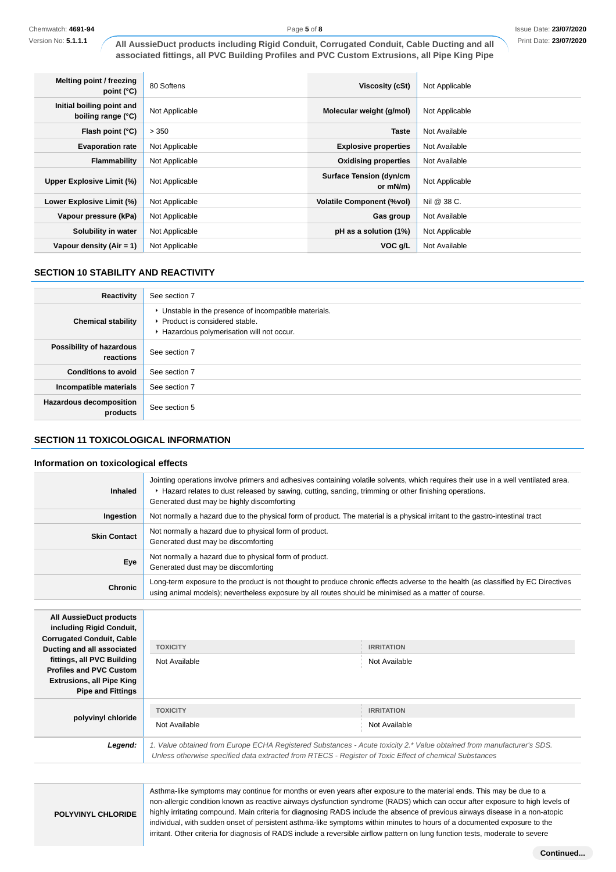| Melting point / freezing<br>point $(^{\circ}C)$ | 80 Softens     | Viscosity (cSt)                            | Not Applicable |
|-------------------------------------------------|----------------|--------------------------------------------|----------------|
| Initial boiling point and<br>boiling range (°C) | Not Applicable | Molecular weight (g/mol)                   | Not Applicable |
| Flash point $(°C)$                              | > 350          | <b>Taste</b>                               | Not Available  |
| <b>Evaporation rate</b>                         | Not Applicable | <b>Explosive properties</b>                | Not Available  |
| Flammability                                    | Not Applicable | <b>Oxidising properties</b>                | Not Available  |
| Upper Explosive Limit (%)                       | Not Applicable | <b>Surface Tension (dyn/cm</b><br>or mN/m) | Not Applicable |
| Lower Explosive Limit (%)                       | Not Applicable | <b>Volatile Component (%vol)</b>           | Nil @ 38 C.    |
| Vapour pressure (kPa)                           | Not Applicable | Gas group                                  | Not Available  |
| Solubility in water                             | Not Applicable | pH as a solution (1%)                      | Not Applicable |
| Vapour density $(Air = 1)$                      | Not Applicable | VOC g/L                                    | Not Available  |

# **SECTION 10 STABILITY AND REACTIVITY**

| Reactivity                                 | See section 7                                                                                                                        |
|--------------------------------------------|--------------------------------------------------------------------------------------------------------------------------------------|
| <b>Chemical stability</b>                  | • Unstable in the presence of incompatible materials.<br>▶ Product is considered stable.<br>Hazardous polymerisation will not occur. |
| Possibility of hazardous<br>reactions      | See section 7                                                                                                                        |
| <b>Conditions to avoid</b>                 | See section 7                                                                                                                        |
| Incompatible materials                     | See section 7                                                                                                                        |
| <b>Hazardous decomposition</b><br>products | See section 5                                                                                                                        |

# **SECTION 11 TOXICOLOGICAL INFORMATION**

### **Information on toxicological effects**

| <b>Inhaled</b>                                                                                                                                             | Jointing operations involve primers and adhesives containing volatile solvents, which requires their use in a well ventilated area.<br>► Hazard relates to dust released by sawing, cutting, sanding, trimming or other finishing operations.<br>Generated dust may be highly discomforting |                                                                                                                     |  |
|------------------------------------------------------------------------------------------------------------------------------------------------------------|---------------------------------------------------------------------------------------------------------------------------------------------------------------------------------------------------------------------------------------------------------------------------------------------|---------------------------------------------------------------------------------------------------------------------|--|
| Ingestion                                                                                                                                                  | Not normally a hazard due to the physical form of product. The material is a physical irritant to the gastro-intestinal tract                                                                                                                                                               |                                                                                                                     |  |
| <b>Skin Contact</b>                                                                                                                                        | Not normally a hazard due to physical form of product.<br>Generated dust may be discomforting                                                                                                                                                                                               |                                                                                                                     |  |
| Eye                                                                                                                                                        | Not normally a hazard due to physical form of product.<br>Generated dust may be discomforting                                                                                                                                                                                               |                                                                                                                     |  |
| <b>Chronic</b>                                                                                                                                             | Long-term exposure to the product is not thought to produce chronic effects adverse to the health (as classified by EC Directives<br>using animal models); nevertheless exposure by all routes should be minimised as a matter of course.                                                   |                                                                                                                     |  |
| <b>All AussieDuct products</b><br>including Rigid Conduit,<br><b>Corrugated Conduit, Cable</b>                                                             |                                                                                                                                                                                                                                                                                             |                                                                                                                     |  |
| Ducting and all associated<br>fittings, all PVC Building<br><b>Profiles and PVC Custom</b><br><b>Extrusions, all Pipe King</b><br><b>Pipe and Fittings</b> | <b>TOXICITY</b><br>Not Available                                                                                                                                                                                                                                                            | <b>IRRITATION</b><br>Not Available                                                                                  |  |
| polyvinyl chloride                                                                                                                                         | <b>TOXICITY</b><br>Not Available                                                                                                                                                                                                                                                            | <b>IRRITATION</b><br>Not Available                                                                                  |  |
| $I$ connd:                                                                                                                                                 |                                                                                                                                                                                                                                                                                             | 1 Value obtained from Europe FCHA Pogistared Substances - Acute toxicity 2 * Value obtained from manufacturer's SDS |  |

**Legend:** 1. Value obtained from Europe ECHA Registered Substances - Acute toxicity 2.\* Value obtained from manufacturer's SDS. Unless otherwise specified data extracted from RTECS - Register of Toxic Effect of chemical Substances

**POLYVINYL CHLORIDE**

Asthma-like symptoms may continue for months or even years after exposure to the material ends. This may be due to a non-allergic condition known as reactive airways dysfunction syndrome (RADS) which can occur after exposure to high levels of highly irritating compound. Main criteria for diagnosing RADS include the absence of previous airways disease in a non-atopic individual, with sudden onset of persistent asthma-like symptoms within minutes to hours of a documented exposure to the irritant. Other criteria for diagnosis of RADS include a reversible airflow pattern on lung function tests, moderate to severe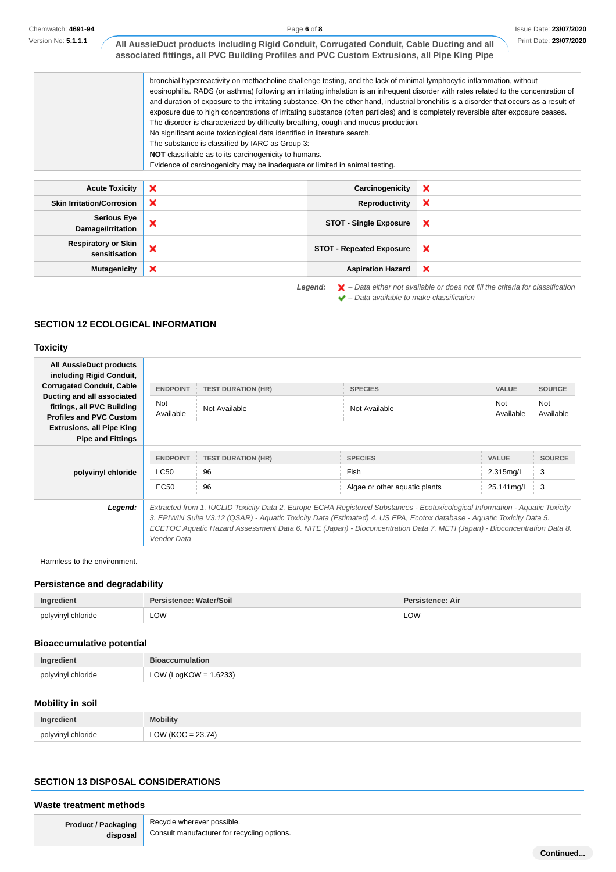Chemwatch: **4691-94**

Version No: **5.1.1.1**

|  | Print Date: 23/07/2020 |  |
|--|------------------------|--|
|  |                        |  |

| All AussieDuct products including Rigid Conduit, Corrugated Conduit, Cable Ducting and all   |
|----------------------------------------------------------------------------------------------|
| associated fittings, all PVC Building Profiles and PVC Custom Extrusions, all Pipe King Pipe |

bronchial hyperreactivity on methacholine challenge testing, and the lack of minimal lymphocytic inflammation, without eosinophilia. RADS (or asthma) following an irritating inhalation is an infrequent disorder with rates related to the concentration of and duration of exposure to the irritating substance. On the other hand, industrial bronchitis is a disorder that occurs as a result of exposure due to high concentrations of irritating substance (often particles) and is completely reversible after exposure ceases. The disorder is characterized by difficulty breathing, cough and mucus production. No significant acute toxicological data identified in literature search. The substance is classified by IARC as Group 3: **NOT** classifiable as to its carcinogenicity to humans. Evidence of carcinogenicity may be inadequate or limited in animal testing.

 $\blacktriangleright$  – Data available to make classification

Acute Toxicity **X** Carcinogenicity  $\boldsymbol{\mathsf{x}}$ **Skin Irritation/Corrosion X Reproductivity**  $\boldsymbol{\mathsf{x}}$ **Serious Eye Damage/Irritation X COT** - Single Exposure  $\boldsymbol{\mathsf{x}}$ **Respiratory or Skin STOT - Repeated Exposure**<br> **STOT - Repeated Exposure** × **Mutagenicity X Aspiration Hazard**  $\boldsymbol{\mathsf{x}}$ Legend:  $\mathsf{X}$  - Data either not available or does not fill the criteria for classification

# **SECTION 12 ECOLOGICAL INFORMATION**

### **Toxicity**

| All AussieDuct products<br>including Rigid Conduit,                                        |                  |                                                                                                                                                                                                                                                                                                                                                                                     |                               |                  |                  |
|--------------------------------------------------------------------------------------------|------------------|-------------------------------------------------------------------------------------------------------------------------------------------------------------------------------------------------------------------------------------------------------------------------------------------------------------------------------------------------------------------------------------|-------------------------------|------------------|------------------|
| <b>Corrugated Conduit, Cable</b>                                                           | <b>ENDPOINT</b>  | <b>TEST DURATION (HR)</b>                                                                                                                                                                                                                                                                                                                                                           | <b>SPECIES</b>                | <b>VALUE</b>     | <b>SOURCE</b>    |
| Ducting and all associated<br>fittings, all PVC Building<br><b>Profiles and PVC Custom</b> | Not<br>Available | Not Available                                                                                                                                                                                                                                                                                                                                                                       | Not Available                 | Not<br>Available | Not<br>Available |
| <b>Extrusions, all Pipe King</b>                                                           |                  |                                                                                                                                                                                                                                                                                                                                                                                     |                               |                  |                  |
| <b>Pipe and Fittings</b>                                                                   |                  |                                                                                                                                                                                                                                                                                                                                                                                     |                               |                  |                  |
|                                                                                            | <b>ENDPOINT</b>  | <b>TEST DURATION (HR)</b>                                                                                                                                                                                                                                                                                                                                                           | <b>SPECIES</b>                | <b>VALUE</b>     | <b>SOURCE</b>    |
| polyvinyl chloride                                                                         | LC50             | 96                                                                                                                                                                                                                                                                                                                                                                                  | Fish                          | 2.315mg/L        | 3                |
|                                                                                            | EC50             | 96                                                                                                                                                                                                                                                                                                                                                                                  | Algae or other aguatic plants | 25.141mg/L       | 3                |
| Legend:                                                                                    | Vendor Data      | Extracted from 1. IUCLID Toxicity Data 2. Europe ECHA Registered Substances - Ecotoxicological Information - Aquatic Toxicity<br>3. EPIWIN Suite V3.12 (QSAR) - Aquatic Toxicity Data (Estimated) 4. US EPA, Ecotox database - Aquatic Toxicity Data 5.<br>ECETOC Aquatic Hazard Assessment Data 6. NITE (Japan) - Bioconcentration Data 7. METI (Japan) - Bioconcentration Data 8. |                               |                  |                  |

Harmless to the environment.

#### **Persistence and degradability**

| Ingredient         | Persistence: Water/Soil | Persistence: Air |
|--------------------|-------------------------|------------------|
| polyvinyl chloride | LOW<br>____             | LOW<br>____      |

### **Bioaccumulative potential**

| Ingredient         | <b>Bioaccumulation</b>   |
|--------------------|--------------------------|
| polyvinyl chloride | LOW (LogKOW = $1.6233$ ) |

### **Mobility in soil**

| Ingredient                           | <b>Mobility</b>                             |
|--------------------------------------|---------------------------------------------|
| nolyvinyl chloride<br><br>polyvilly: | $OW (KOC = 23.74)$<br>، ن ے<br>$ -$<br>____ |

### **SECTION 13 DISPOSAL CONSIDERATIONS**

#### **Waste treatment methods**

**Product / Packaging disposal**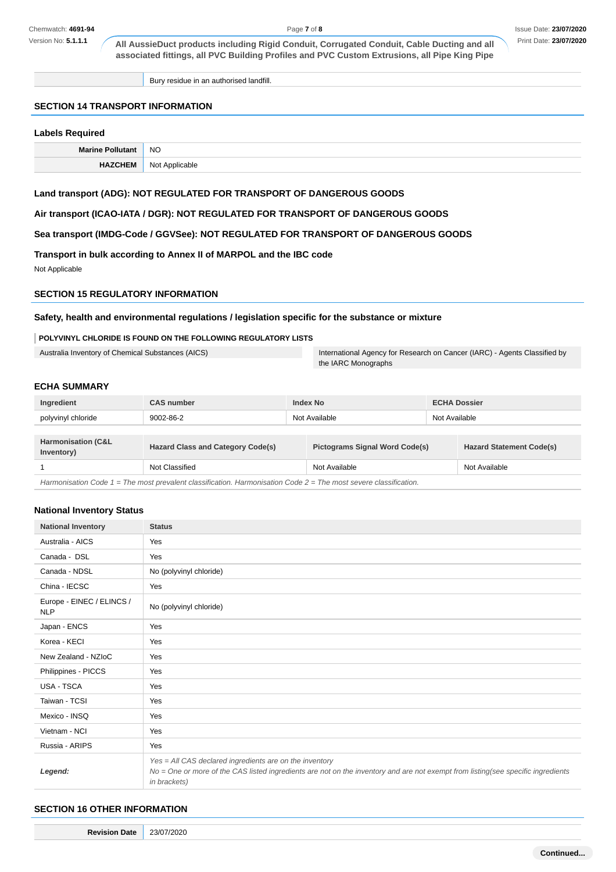Bury residue in an authorised landfill.

# **SECTION 14 TRANSPORT INFORMATION**

### **Labels Required**

| Marino    | <b>NO</b>                                  |
|-----------|--------------------------------------------|
| _________ | <b>NO</b><br>ahle<br>,,,,<br>$\sim$ $\sim$ |

# **Land transport (ADG): NOT REGULATED FOR TRANSPORT OF DANGEROUS GOODS**

**Air transport (ICAO-IATA / DGR): NOT REGULATED FOR TRANSPORT OF DANGEROUS GOODS**

**Sea transport (IMDG-Code / GGVSee): NOT REGULATED FOR TRANSPORT OF DANGEROUS GOODS**

# **Transport in bulk according to Annex II of MARPOL and the IBC code**

Not Applicable

# **SECTION 15 REGULATORY INFORMATION**

#### **Safety, health and environmental regulations / legislation specific for the substance or mixture**

#### **POLYVINYL CHLORIDE IS FOUND ON THE FOLLOWING REGULATORY LISTS**

Australia Inventory of Chemical Substances (AICS) **International Agency for Research on Cancer (IARC)** - Agents Classified by the IARC Monographs

### **ECHA SUMMARY**

| Ingredient                                  | <b>CAS number</b>                        |               | <b>Index No</b>                       |               | <b>ECHA Dossier</b>             |  |
|---------------------------------------------|------------------------------------------|---------------|---------------------------------------|---------------|---------------------------------|--|
| polyvinyl chloride                          | 9002-86-2                                | Not Available |                                       | Not Available |                                 |  |
|                                             |                                          |               |                                       |               |                                 |  |
| <b>Harmonisation (C&amp;L</b><br>Inventory) | <b>Hazard Class and Category Code(s)</b> |               | <b>Pictograms Signal Word Code(s)</b> |               | <b>Hazard Statement Code(s)</b> |  |
|                                             | Not Classified                           |               | Not Available                         |               | Not Available                   |  |

Harmonisation Code 1 = The most prevalent classification. Harmonisation Code 2 = The most severe classification.

#### **National Inventory Status**

| <b>National Inventory</b>               | <b>Status</b>                                                                                                                                                                                               |
|-----------------------------------------|-------------------------------------------------------------------------------------------------------------------------------------------------------------------------------------------------------------|
| Australia - AICS                        | Yes                                                                                                                                                                                                         |
| Canada - DSL                            | Yes                                                                                                                                                                                                         |
| Canada - NDSL                           | No (polyvinyl chloride)                                                                                                                                                                                     |
| China - IECSC                           | Yes                                                                                                                                                                                                         |
| Europe - EINEC / ELINCS /<br><b>NLP</b> | No (polyvinyl chloride)                                                                                                                                                                                     |
| Japan - ENCS                            | Yes                                                                                                                                                                                                         |
| Korea - KECI                            | Yes                                                                                                                                                                                                         |
| New Zealand - NZIoC                     | Yes                                                                                                                                                                                                         |
| Philippines - PICCS                     | Yes                                                                                                                                                                                                         |
| USA - TSCA                              | Yes                                                                                                                                                                                                         |
| Taiwan - TCSI                           | Yes                                                                                                                                                                                                         |
| Mexico - INSQ                           | Yes                                                                                                                                                                                                         |
| Vietnam - NCI                           | Yes                                                                                                                                                                                                         |
| Russia - ARIPS                          | Yes                                                                                                                                                                                                         |
| Legend:                                 | Yes = All CAS declared ingredients are on the inventory<br>No = One or more of the CAS listed ingredients are not on the inventory and are not exempt from listing(see specific ingredients<br>in brackets) |

### **SECTION 16 OTHER INFORMATION**

**Revision Date** 23/07/2020